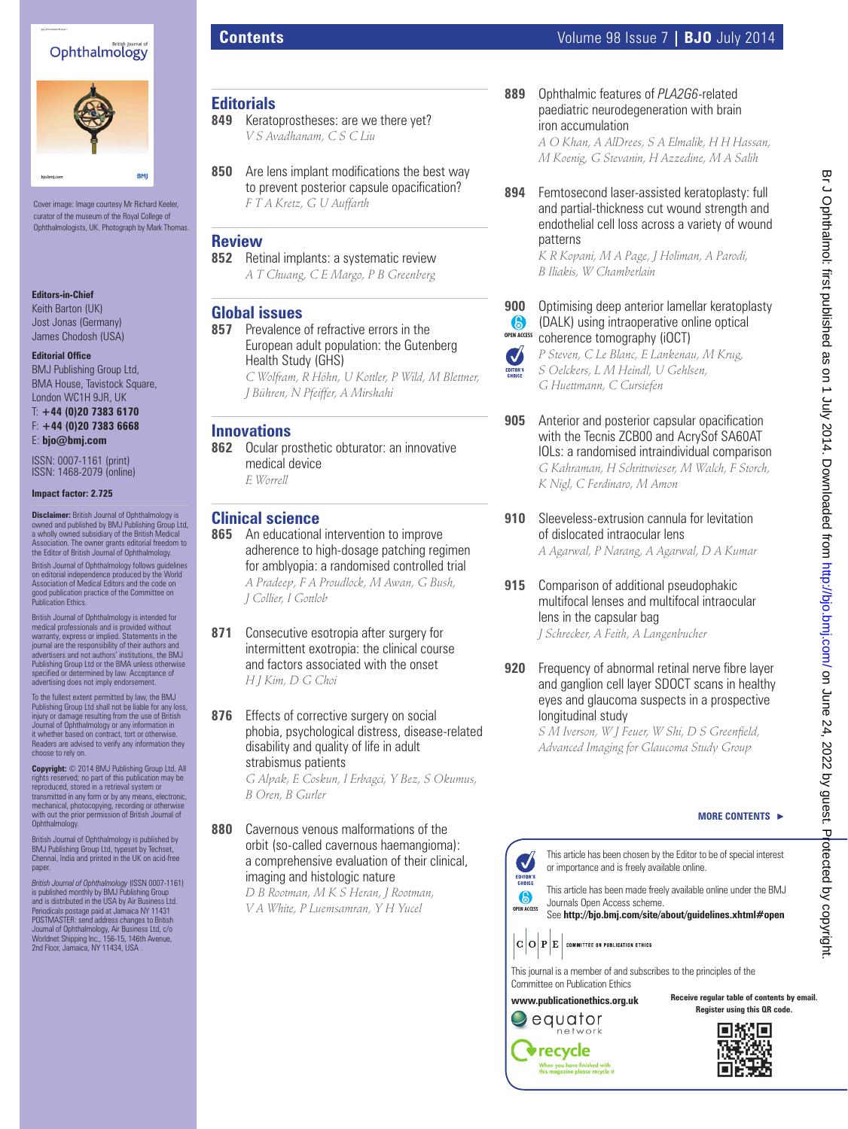## Ophthalmology



Cover image: Image courtesy Mr Richard Keeler, curator of the museum of the Royal College of Ophthalmologists, UK. Photograph by Mark Thomas.

#### **Editors-in-Chief**

Keith Barton (UK) Jost Jonas (Germany) James Chodosh (USA)

#### **Editorial Office**

BMJ Publishing Group Ltd, BMA House, Tavistock Square, London WC1H 9JR, UK

T: **+44 (0)20 7383 6170** F: **+44 (0)20 7383 6668** E: **bjo@bmj.com**

ISSN: 0007-1161 (print) ISSN: 1468-2079 (online)

#### **Impact factor: 2.725**

**Disclaimer:** British Journal of Ophthalmology is owned and published by BMJ Publishing Group Ltd, a wholly owned subsidiary of the British Medical Association. The owner grants editorial freedom to the Editor of British Journal of Ophthalmology. British Journal of Ophthalmology follows guidelines on editorial independence produced by the World Association of Medical Editors and the code on good publication practice of the Committee on Publication Ethics.

British Journal of Ophthalmology is intended for medical professionals and is provided without warranty, express or implied. Statements in the journal are the responsibility of their authors and advertisers and not authors' institutions, the BMJ Publishing Group Ltd or the BMA unless otherwise<br>specified or determined by law. Acceptance of advertising does not imply endorsement.

To the fullest extent permitted by law, the BMJ Publishing Group Ltd shall not be liable for any loss, injury or damage resulting from the use of British Journal of Ophthalmology or any information in it whether based on contract, tort or otherwise. aders are advised to verify any information they choose to rely on.

**Copyright:** © 2014 BMJ Publishing Group Ltd. All rights reserved; no part of this publication may be reproduced, stored in a retrieval system or transmitted in any form or by any means, electronic, mechanical, photocopying, recording or otherwise with out the prior permission of British Journal of Ophthalmology.

British Journal of Ophthalmology is published by BMJ Publishing Group Ltd, typeset by Techset, Chennai, India and printed in the UK on acid-free paper

British Journal of Ophthalmology (ISSN 0007-1161)<br>is published monthly by BMJ Publishing Group<br>and is distributed in the USA by Air Business Ltd.<br>Periodicals postage paid at Jamaica NY 11431<br>POSTMASTER: send address change

# **Editorials**

- **849** Keratoprostheses: are we there yet? *V S Avadhanam, C S C Liu*
- **850** Are lens implant modifications the best way to prevent posterior capsule opacification? *F T A Kretz, G U Auffarth*

#### **Review**

**852** Retinal implants: a systematic review *A T Chuang, C E Margo, P B Greenberg*

#### **Global issues**

**857** Prevalence of refractive errors in the European adult population: the Gutenberg Health Study (GHS)

*C Wolfram, R Höhn, U Kottler, P Wild, M Blettner, J Bühren, N Pfeiffer, A Mirshahi*

#### **Innovations**

- **862** Ocular prosthetic obturator: an innovative medical device
	- *E Worrell*

# **Clinical science**<br>865 An educational

- **865** An educational intervention to improve adherence to high-dosage patching regimen for amblyopia: a randomised controlled trial *A Pradeep, F A Proudlock, M Awan, G Bush, J Collier, I Gottlob*
- **871** Consecutive esotropia after surgery for intermittent exotropia: the clinical course and factors associated with the onset *H J Kim, D G Choi*
- **876** Effects of corrective surgery on social phobia, psychological distress, disease-related disability and quality of life in adult strabismus patients

*G Alpak, E Coskun, I Erbagci, Y Bez, S Okumus, B Oren, B Gurler*

**880** Cavernous venous malformations of the orbit (so-called cavernous haemangioma): a comprehensive evaluation of their clinical, imaging and histologic nature

> *D B Rootman, M K S Heran, J Rootman, V A White, P Luemsamran, Y H Yucel*

**889** Ophthalmic features of *PLA2G6*-related paediatric neurodegeneration with brain iron accumulation

*A O Khan, A AlDrees, S A Elmalik, H H Hassan, M Koenig, G Stevanin, H Azzedine, M A Salih*

**894** Femtosecond laser-assisted keratoplasty: full and partial-thickness cut wound strength and endothelial cell loss across a variety of wound patterns

*K R Kopani, M A Page, J Holiman, A Parodi, B Iliakis, W Chamberlain*

#### **900** Optimising deep anterior lamellar keratoplasty 6 (DALK) using intraoperative online optical **OPEN ACCESS** coherence tomography (iOCT)

*P Steven, C Le Blanc, E Lankenau, M Krug, S Oelckers, L M Heindl, U Gehlsen, G Huettmann, C Cursiefen*

 $\bullet$ EDITOR'S

- **905** Anterior and posterior capsular opacification with the Tecnis ZCB00 and AcrySof SA60AT IOLs: a randomised intraindividual comparison *G Kahraman, H Schrittwieser, M Walch, F Storch, K Nigl, C Ferdinaro, M Amon*
- **910** Sleeveless-extrusion cannula for levitation of dislocated intraocular lens *A Agarwal, P Narang, A Agarwal, D A Kumar*
- **915** Comparison of additional pseudophakic multifocal lenses and multifocal intraocular lens in the capsular bag *J Schrecker, A Feith, A Langenbucher*
- **920** Frequency of abnormal retinal nerve fibre layer and ganglion cell layer SDOCT scans in healthy eyes and glaucoma suspects in a prospective longitudinal study

*S M Iverson, W J Feuer, W Shi, D S Greenfield, Advanced Imaging for Glaucoma Study Group*

#### **MORE CONTENTS** -

This article has been chosen by the Editor to be of special interest or importance and is freely available online.

This article has been made freely available online under the BMJ Journals Open Access scheme. See http://bjo.bmj.com/site/about/guidelines.xhtml#open

 $|\mathbf{C}|\mathbf{O}|\mathbf{P}|\mathbf{E}|$  committee on publication ethics

This journal is a member of and subscribes to the principles of the Committee on Publication Ethics

**www.publicationethics.org.uk** network

equator

 $\blacktriangleright$ recycle

**Receive regular table of contents by email. Register using this QR code.**